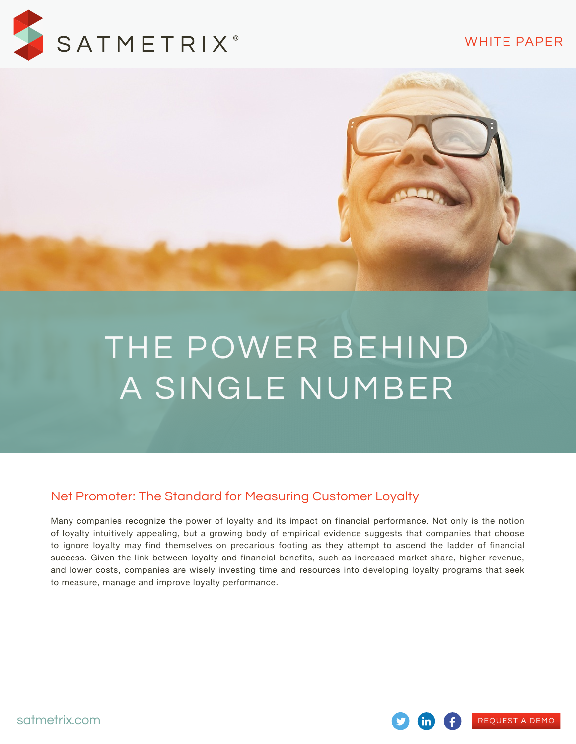#### WHITE PAPER

[REQUEST A DEMO](http://www.satmetrix.com/request-a-demo/)



# THE POWER BEHIND A SINGLE NUMBER

### Net Promoter: The Standard for Measuring Customer Loyalty

Many companies recognize the power of loyalty and its impact on financial performance. Not only is the notion of loyalty intuitively appealing, but a growing body of empirical evidence suggests that companies that choose to ignore loyalty may find themselves on precarious footing as they attempt to ascend the ladder of financial success. Given the link between loyalty and financial benefits, such as increased market share, higher revenue, and lower costs, companies are wisely investing time and resources into developing loyalty programs that seek to measure, manage and improve loyalty performance.

[satmetrix.com](http://satmetrix.com)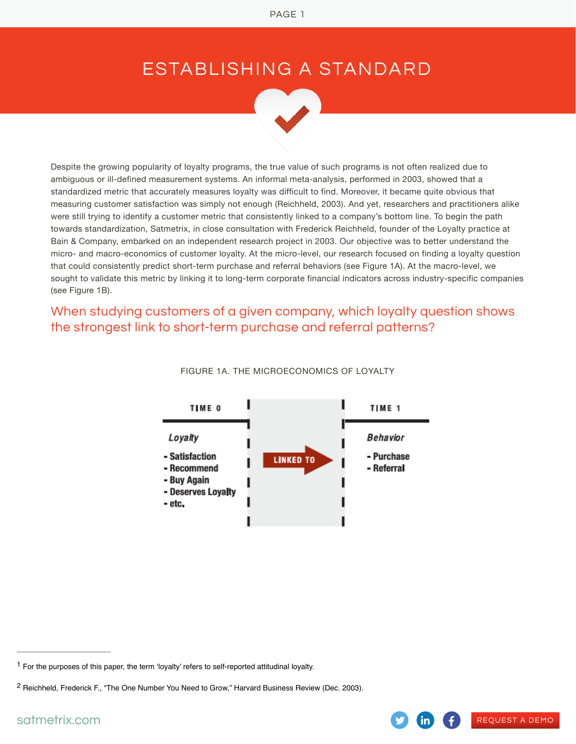# ESTABLISHING A STANDARD



Despite the growing popularity of loyalty programs, the true value of such programs is not often realized due to ambiguous or ill-defined measurement systems. An informal meta-analysis, performed in 2003, showed that a standardized metric that accurately measures loyalty was difficult to find. Moreover, it became quite obvious that measuring customer satisfaction was simply not enough (Reichheld, 2003). And yet, researchers and practitioners alike were still trying to identify a customer metric that consistently linked to a company's bottom line. To begin the path towards standardization, Satmetrix, in close consultation with Frederick Reichheld, founder of the Loyalty practice at Bain & Company, embarked on an independent research project in 2003. Our objective was to better understand the micro- and macro-economics of customer loyalty. At the micro-level, our research focused on finding a loyalty question that could consistently predict short-term purchase and referral behaviors (see Figure 1A). At the macro-level, we sought to validate this metric by linking it to long-term corporate financial indicators across industry-specific companies (see Figure 1B).

When studying customers of a given company, which loyalty question shows the strongest link to short-term purchase and referral patterns?



[REQUEST A DEMO](http://www.satmetrix.com/request-a-demo/)

FIGURE 1A. THE MICROECONOMICS OF LOYALTY

 $1$  For the purposes of this paper, the term 'loyalty' refers to self-reported attitudinal loyalty.

<sup>&</sup>lt;sup>2</sup> Reichheld, Frederick F., "The One Number You Need to Grow," Harvard Business Review (Dec. 2003).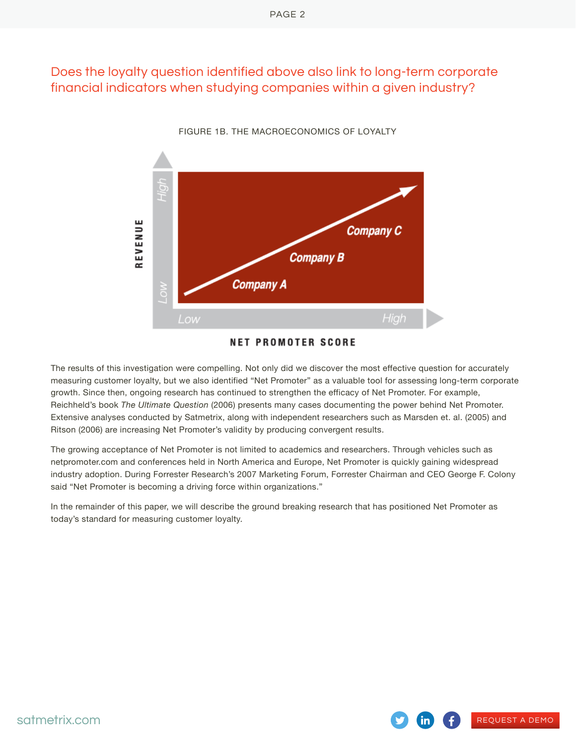# Does the loyalty question identified above also link to long-term corporate financial indicators when studying companies within a given industry?



FIGURE 1B. THE MACROECONOMICS OF LOYALTY

**NET PROMOTER SCORE** 

The results of this investigation were compelling. Not only did we discover the most effective question for accurately measuring customer loyalty, but we also identified "Net Promoter" as a valuable tool for assessing long-term corporate growth. Since then, ongoing research has continued to strengthen the efficacy of Net Promoter. For example, Reichheld's book *The Ultimate Question* (2006) presents many cases documenting the power behind Net Promoter. Extensive analyses conducted by Satmetrix, along with independent researchers such as Marsden et. al. (2005) and Ritson (2006) are increasing Net Promoter's validity by producing convergent results.

The growing acceptance of Net Promoter is not limited to academics and researchers. Through vehicles such as netpromoter.com and conferences held in North America and Europe, Net Promoter is quickly gaining widespread industry adoption. During Forrester Research's 2007 Marketing Forum, Forrester Chairman and CEO George F. Colony said "Net Promoter is becoming a driving force within organizations."

[REQUEST A DEMO](http://www.satmetrix.com/request-a-demo/)

In the remainder of this paper, we will describe the ground breaking research that has positioned Net Promoter as today's standard for measuring customer loyalty.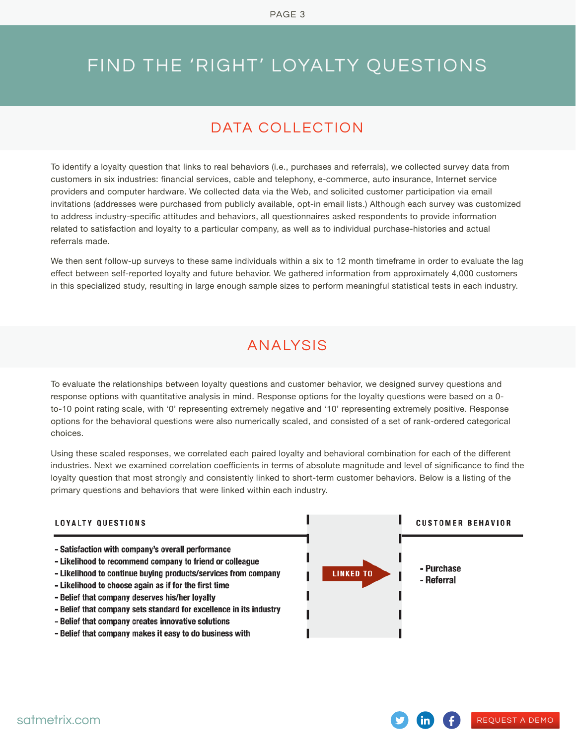# FIND THE 'RIGHT' LOYALTY QUESTIONS

# DATA COLLECTION

To identify a loyalty question that links to real behaviors (i.e., purchases and referrals), we collected survey data from customers in six industries: financial services, cable and telephony, e-commerce, auto insurance, Internet service providers and computer hardware. We collected data via the Web, and solicited customer participation via email invitations (addresses were purchased from publicly available, opt-in email lists.) Although each survey was customized to address industry-specific attitudes and behaviors, all questionnaires asked respondents to provide information related to satisfaction and loyalty to a particular company, as well as to individual purchase-histories and actual referrals made.

We then sent follow-up surveys to these same individuals within a six to 12 month timeframe in order to evaluate the lag effect between self-reported loyalty and future behavior. We gathered information from approximately 4,000 customers in this specialized study, resulting in large enough sample sizes to perform meaningful statistical tests in each industry.

# ANALYSIS

To evaluate the relationships between loyalty questions and customer behavior, we designed survey questions and response options with quantitative analysis in mind. Response options for the loyalty questions were based on a 0 to-10 point rating scale, with '0' representing extremely negative and '10' representing extremely positive. Response options for the behavioral questions were also numerically scaled, and consisted of a set of rank-ordered categorical choices.

Using these scaled responses, we correlated each paired loyalty and behavioral combination for each of the different industries. Next we examined correlation coefficients in terms of absolute magnitude and level of significance to find the loyalty question that most strongly and consistently linked to short-term customer behaviors. Below is a listing of the primary questions and behaviors that were linked within each industry.

#### **LOYALTY QUESTIONS**

- Satisfaction with company's overall performance
- Likelihood to recommend company to friend or colleague
- Likelihood to continue buying products/services from company
- Likelihood to choose again as if for the first time
- Belief that company deserves his/her loyalty
- Belief that company sets standard for excellence in its industry
- Belief that company creates innovative solutions
- Belief that company makes it easy to do business with



[REQUEST A DEMO](http://www.satmetrix.com/request-a-demo/)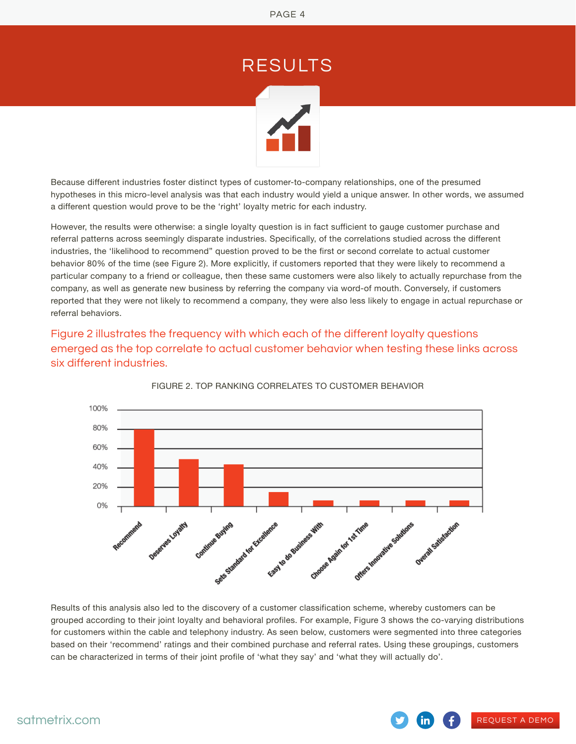RESULTS

Because different industries foster distinct types of customer-to-company relationships, one of the presumed hypotheses in this micro-level analysis was that each industry would yield a unique answer. In other words, we assumed a different question would prove to be the 'right' loyalty metric for each industry.

However, the results were otherwise: a single loyalty question is in fact sufficient to gauge customer purchase and referral patterns across seemingly disparate industries. Specifically, of the correlations studied across the different industries, the 'likelihood to recommend" question proved to be the first or second correlate to actual customer behavior 80% of the time (see Figure 2). More explicitly, if customers reported that they were likely to recommend a particular company to a friend or colleague, then these same customers were also likely to actually repurchase from the company, as well as generate new business by referring the company via word-of mouth. Conversely, if customers reported that they were not likely to recommend a company, they were also less likely to engage in actual repurchase or referral behaviors.

Figure 2 illustrates the frequency with which each of the different loyalty questions emerged as the top correlate to actual customer behavior when testing these links across six different industries.



FIGURE 2. TOP RANKING CORRELATES TO CUSTOMER BEHAVIOR

Results of this analysis also led to the discovery of a customer classification scheme, whereby customers can be grouped according to their joint loyalty and behavioral profiles. For example, Figure 3 shows the co-varying distributions for customers within the cable and telephony industry. As seen below, customers were segmented into three categories based on their 'recommend' ratings and their combined purchase and referral rates. Using these groupings, customers can be characterized in terms of their joint profile of 'what they say' and 'what they will actually do'.

[REQUEST A DEMO](http://www.satmetrix.com/request-a-demo/)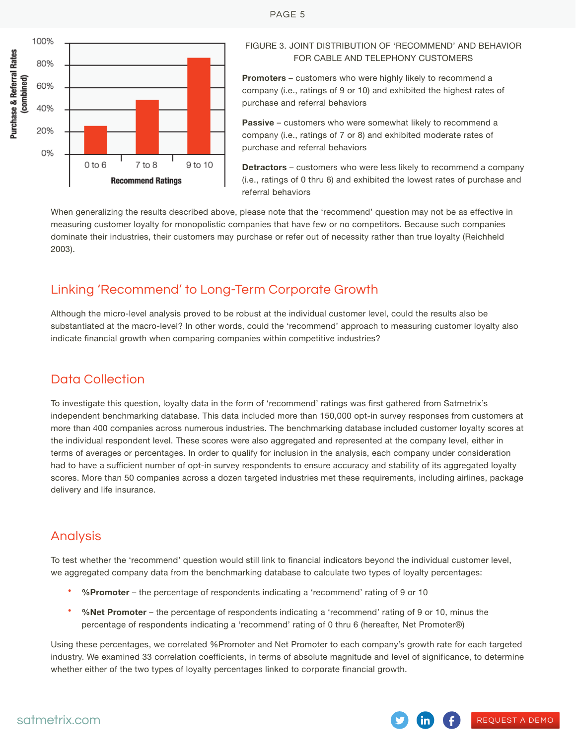

#### FIGURE 3. JOINT DISTRIBUTION OF 'RECOMMEND' AND BEHAVIOR FOR CABLE AND TELEPHONY CUSTOMERS

**Promoters** – customers who were highly likely to recommend a company (i.e., ratings of 9 or 10) and exhibited the highest rates of purchase and referral behaviors

**Passive** – customers who were somewhat likely to recommend a company (i.e., ratings of 7 or 8) and exhibited moderate rates of purchase and referral behaviors

**Detractors** – customers who were less likely to recommend a company (i.e., ratings of 0 thru 6) and exhibited the lowest rates of purchase and referral behaviors

[REQUEST A DEMO](http://www.satmetrix.com/request-a-demo/)

When generalizing the results described above, please note that the 'recommend' question may not be as effective in measuring customer loyalty for monopolistic companies that have few or no competitors. Because such companies dominate their industries, their customers may purchase or refer out of necessity rather than true loyalty (Reichheld 2003).

## Linking 'Recommend' to Long-Term Corporate Growth

Although the micro-level analysis proved to be robust at the individual customer level, could the results also be substantiated at the macro-level? In other words, could the 'recommend' approach to measuring customer loyalty also indicate financial growth when comparing companies within competitive industries?

## Data Collection

To investigate this question, loyalty data in the form of 'recommend' ratings was first gathered from Satmetrix's independent benchmarking database. This data included more than 150,000 opt-in survey responses from customers at more than 400 companies across numerous industries. The benchmarking database included customer loyalty scores at the individual respondent level. These scores were also aggregated and represented at the company level, either in terms of averages or percentages. In order to qualify for inclusion in the analysis, each company under consideration had to have a sufficient number of opt-in survey respondents to ensure accuracy and stability of its aggregated loyalty scores. More than 50 companies across a dozen targeted industries met these requirements, including airlines, package delivery and life insurance.

# Analysis

To test whether the 'recommend' question would still link to financial indicators beyond the individual customer level, we aggregated company data from the benchmarking database to calculate two types of loyalty percentages:

- **%Promoter** the percentage of respondents indicating a 'recommend' rating of 9 or 10
- **%Net Promoter** the percentage of respondents indicating a 'recommend' rating of 9 or 10, minus the percentage of respondents indicating a 'recommend' rating of 0 thru 6 (hereafter, Net Promoter®)

Using these percentages, we correlated %Promoter and Net Promoter to each company's growth rate for each targeted industry. We examined 33 correlation coefficients, in terms of absolute magnitude and level of significance, to determine whether either of the two types of loyalty percentages linked to corporate financial growth.

#### PAGE 5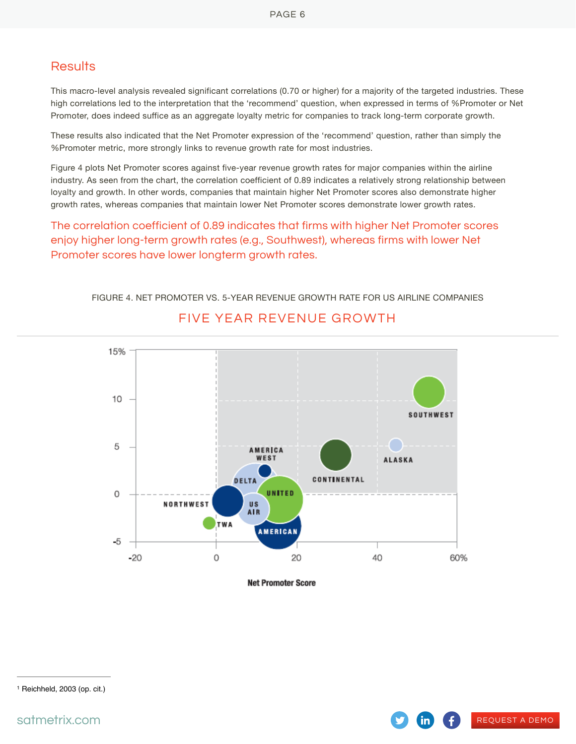#### **Results**

This macro-level analysis revealed significant correlations (0.70 or higher) for a majority of the targeted industries. These high correlations led to the interpretation that the 'recommend' question, when expressed in terms of %Promoter or Net Promoter, does indeed suffice as an aggregate loyalty metric for companies to track long-term corporate growth.

These results also indicated that the Net Promoter expression of the 'recommend' question, rather than simply the %Promoter metric, more strongly links to revenue growth rate for most industries.

Figure 4 plots Net Promoter scores against five-year revenue growth rates for major companies within the airline industry. As seen from the chart, the correlation coefficient of 0.89 indicates a relatively strong relationship between loyalty and growth. In other words, companies that maintain higher Net Promoter scores also demonstrate higher growth rates, whereas companies that maintain lower Net Promoter scores demonstrate lower growth rates.

The correlation coefficient of 0.89 indicates that firms with higher Net Promoter scores enjoy higher long-term growth rates (e.g., Southwest), whereas firms with lower Net Promoter scores have lower longterm growth rates.



FIGURE 4. NET PROMOTER VS. 5-YEAR REVENUE GROWTH RATE FOR US AIRLINE COMPANIES FIVE YEAR REVENUE GROWTH

**Net Promoter Score** 

[REQUEST A DEMO](http://www.satmetrix.com/request-a-demo/)

<sup>1</sup> Reichheld, 2003 (op. cit.)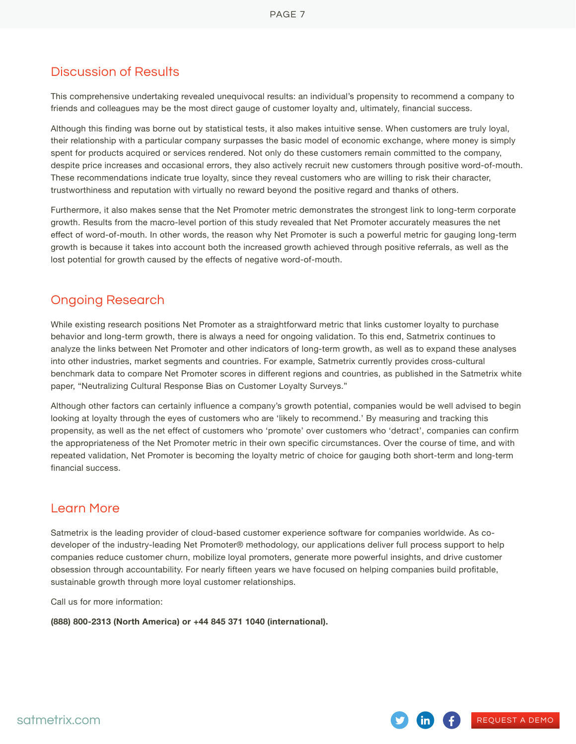#### Discussion of Results

This comprehensive undertaking revealed unequivocal results: an individual's propensity to recommend a company to friends and colleagues may be the most direct gauge of customer loyalty and, ultimately, financial success.

Although this finding was borne out by statistical tests, it also makes intuitive sense. When customers are truly loyal, their relationship with a particular company surpasses the basic model of economic exchange, where money is simply spent for products acquired or services rendered. Not only do these customers remain committed to the company, despite price increases and occasional errors, they also actively recruit new customers through positive word-of-mouth. These recommendations indicate true loyalty, since they reveal customers who are willing to risk their character, trustworthiness and reputation with virtually no reward beyond the positive regard and thanks of others.

Furthermore, it also makes sense that the Net Promoter metric demonstrates the strongest link to long-term corporate growth. Results from the macro-level portion of this study revealed that Net Promoter accurately measures the net effect of word-of-mouth. In other words, the reason why Net Promoter is such a powerful metric for gauging long-term growth is because it takes into account both the increased growth achieved through positive referrals, as well as the lost potential for growth caused by the effects of negative word-of-mouth.

#### Ongoing Research

While existing research positions Net Promoter as a straightforward metric that links customer loyalty to purchase behavior and long-term growth, there is always a need for ongoing validation. To this end, Satmetrix continues to analyze the links between Net Promoter and other indicators of long-term growth, as well as to expand these analyses into other industries, market segments and countries. For example, Satmetrix currently provides cross-cultural benchmark data to compare Net Promoter scores in different regions and countries, as published in the Satmetrix white paper, "Neutralizing Cultural Response Bias on Customer Loyalty Surveys."

Although other factors can certainly influence a company's growth potential, companies would be well advised to begin looking at loyalty through the eyes of customers who are 'likely to recommend.' By measuring and tracking this propensity, as well as the net effect of customers who 'promote' over customers who 'detract', companies can confirm the appropriateness of the Net Promoter metric in their own specific circumstances. Over the course of time, and with repeated validation, Net Promoter is becoming the loyalty metric of choice for gauging both short-term and long-term financial success.

#### Learn More

Satmetrix is the leading provider of cloud-based customer experience software for companies worldwide. As codeveloper of the industry-leading Net Promoter® methodology, our applications deliver full process support to help companies reduce customer churn, mobilize loyal promoters, generate more powerful insights, and drive customer obsession through accountability. For nearly fifteen years we have focused on helping companies build profitable, sustainable growth through more loyal customer relationships.

Call us for more information:

**(888) 800-2313 (North America) or +44 845 371 1040 (international).**

[REQUEST A DEMO](http://www.satmetrix.com/request-a-demo/)

 $\mathsf{in}$ )

GĐ